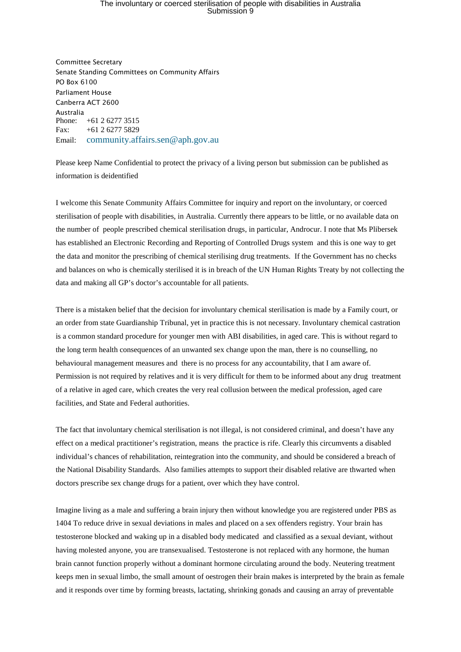## The involuntary or coerced sterilisation of people with disabilities in Australia Submission 9

Committee Secretary Senate Standing Committees on Community Affairs PO Box 6100 Parliament House Canberra ACT 2600 Australia Phone: +61 2 6277 3515 Fax: +61 2 6277 5829 Email: [community.affairs.sen@aph.gov.au](mailto:community.affairs.sen@aph.gov.au)

Please keep Name Confidential to protect the privacy of a living person but submission can be published as information is deidentified

I welcome this Senate Community Affairs Committee for inquiry and report on the involuntary, or coerced sterilisation of people with disabilities, in Australia. Currently there appears to be little, or no available data on the number of people prescribed chemical sterilisation drugs, in particular, Androcur. I note that Ms Plibersek has established an Electronic Recording and Reporting of Controlled Drugs system and this is one way to get the data and monitor the prescribing of chemical sterilising drug treatments. If the Government has no checks and balances on who is chemically sterilised it is in breach of the UN Human Rights Treaty by not collecting the data and making all GP's doctor's accountable for all patients.

There is a mistaken belief that the decision for involuntary chemical sterilisation is made by a Family court, or an order from state Guardianship Tribunal, yet in practice this is not necessary. Involuntary chemical castration is a common standard procedure for younger men with ABI disabilities, in aged care. This is without regard to the long term health consequences of an unwanted sex change upon the man, there is no counselling, no behavioural management measures and there is no process for any accountability, that I am aware of. Permission is not required by relatives and it is very difficult for them to be informed about any drug treatment of a relative in aged care, which creates the very real collusion between the medical profession, aged care facilities, and State and Federal authorities.

The fact that involuntary chemical sterilisation is not illegal, is not considered criminal, and doesn't have any effect on a medical practitioner's registration, means the practice is rife. Clearly this circumvents a disabled individual's chances of rehabilitation, reintegration into the community, and should be considered a breach of the National Disability Standards. Also families attempts to support their disabled relative are thwarted when doctors prescribe sex change drugs for a patient, over which they have control.

Imagine living as a male and suffering a brain injury then without knowledge you are registered under PBS as 1404 To reduce drive in sexual deviations in males and placed on a sex offenders registry. Your brain has testosterone blocked and waking up in a disabled body medicated and classified as a sexual deviant, without having molested anyone, you are transexualised. Testosterone is not replaced with any hormone, the human brain cannot function properly without a dominant hormone circulating around the body. Neutering treatment keeps men in sexual limbo, the small amount of oestrogen their brain makes is interpreted by the brain as female and it responds over time by forming breasts, lactating, shrinking gonads and causing an array of preventable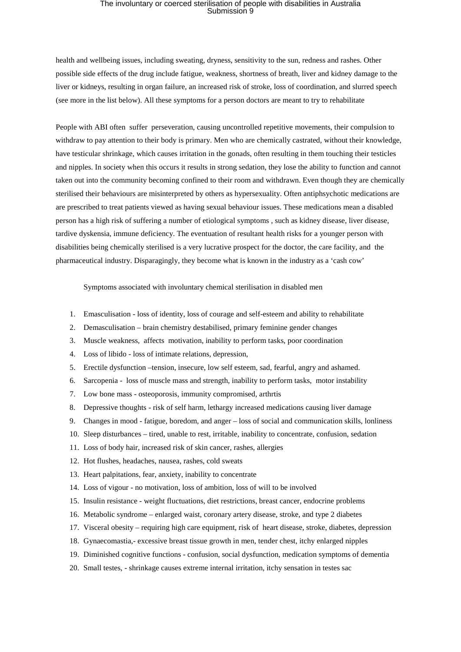## The involuntary or coerced sterilisation of people with disabilities in Australia<br>Submission 9

health and wellbeing issues, including sweating, dryness, sensitivity to the sun, redness and rashes. Other possible side effects of the drug include fatigue, weakness, shortness of breath, liver and kidney damage to the liver or kidneys, resulting in organ failure, an increased risk of stroke, loss of coordination, and slurred speech (see more in the list below). All these symptoms for a person doctors are meant to try to rehabilitate

People with ABI often suffer perseveration, causing uncontrolled repetitive movements, their compulsion to withdraw to pay attention to their body is primary. Men who are chemically castrated, without their knowledge, have testicular shrinkage, which causes irritation in the gonads, often resulting in them touching their testicles and nipples. In society when this occurs it results in strong sedation, they lose the ability to function and cannot taken out into the community becoming confined to their room and withdrawn. Even though they are chemically sterilised their behaviours are misinterpreted by others as hypersexuality. Often antiphsychotic medications are are prescribed to treat patients viewed as having sexual behaviour issues. These medications mean a disabled person has a high risk of suffering a number of etiological symptoms , such as kidney disease, liver disease, tardive dyskensia, immune deficiency. The eventuation of resultant health risks for a younger person with disabilities being chemically sterilised is a very lucrative prospect for the doctor, the care facility, and the pharmaceutical industry. Disparagingly, they become what is known in the industry as a 'cash cow'

Symptoms associated with involuntary chemical sterilisation in disabled men

- 1. Emasculisation loss of identity, loss of courage and self-esteem and ability to rehabilitate
- 2. Demasculisation brain chemistry destabilised, primary feminine gender changes
- 3. Muscle weakness, affects motivation, inability to perform tasks, poor coordination
- 4. Loss of libido loss of intimate relations, depression,
- 5. Erectile dysfunction –tension, insecure, low self esteem, sad, fearful, angry and ashamed.
- 6. Sarcopenia loss of muscle mass and strength, inability to perform tasks, motor instability
- 7. Low bone mass osteoporosis, immunity compromised, arthrtis
- 8. Depressive thoughts risk of self harm, lethargy increased medications causing liver damage
- 9. Changes in mood fatigue, boredom, and anger loss of social and communication skills, lonliness
- 10. Sleep disturbances tired, unable to rest, irritable, inability to concentrate, confusion, sedation
- 11. Loss of body hair, increased risk of skin cancer, rashes, allergies
- 12. Hot flushes, headaches, nausea, rashes, cold sweats
- 13. Heart palpitations, fear, anxiety, inability to concentrate
- 14. Loss of vigour no motivation, loss of ambition, loss of will to be involved
- 15. Insulin resistance weight fluctuations, diet restrictions, breast cancer, endocrine problems
- 16. Metabolic syndrome enlarged waist, coronary artery disease, stroke, and type 2 diabetes
- 17. Visceral obesity requiring high care equipment, risk of heart disease, stroke, diabetes, depression
- 18. Gynaecomastia,- excessive breast tissue growth in men, tender chest, itchy enlarged nipples
- 19. Diminished cognitive functions confusion, social dysfunction, medication symptoms of dementia
- 20. Small testes, shrinkage causes extreme internal irritation, itchy sensation in testes sac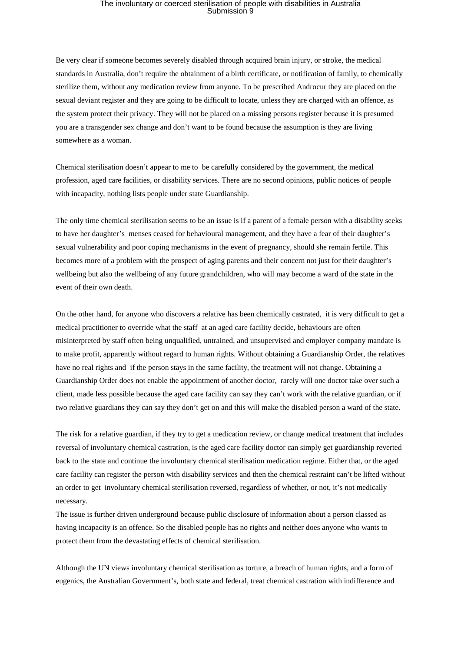## The involuntary or coerced sterilisation of people with disabilities in Australia<br>Submission 9

Be very clear if someone becomes severely disabled through acquired brain injury, or stroke, the medical standards in Australia, don't require the obtainment of a birth certificate, or notification of family, to chemically sterilize them, without any medication review from anyone. To be prescribed Androcur they are placed on the sexual deviant register and they are going to be difficult to locate, unless they are charged with an offence, as the system protect their privacy. They will not be placed on a missing persons register because it is presumed you are a transgender sex change and don't want to be found because the assumption is they are living somewhere as a woman.

Chemical sterilisation doesn't appear to me to be carefully considered by the government, the medical profession, aged care facilities, or disability services. There are no second opinions, public notices of people with incapacity, nothing lists people under state Guardianship.

The only time chemical sterilisation seems to be an issue is if a parent of a female person with a disability seeks to have her daughter's menses ceased for behavioural management, and they have a fear of their daughter's sexual vulnerability and poor coping mechanisms in the event of pregnancy, should she remain fertile. This becomes more of a problem with the prospect of aging parents and their concern not just for their daughter's wellbeing but also the wellbeing of any future grandchildren, who will may become a ward of the state in the event of their own death.

On the other hand, for anyone who discovers a relative has been chemically castrated, it is very difficult to get a medical practitioner to override what the staff at an aged care facility decide, behaviours are often misinterpreted by staff often being unqualified, untrained, and unsupervised and employer company mandate is to make profit, apparently without regard to human rights. Without obtaining a Guardianship Order, the relatives have no real rights and if the person stays in the same facility, the treatment will not change. Obtaining a Guardianship Order does not enable the appointment of another doctor, rarely will one doctor take over such a client, made less possible because the aged care facility can say they can't work with the relative guardian, or if two relative guardians they can say they don't get on and this will make the disabled person a ward of the state.

The risk for a relative guardian, if they try to get a medication review, or change medical treatment that includes reversal of involuntary chemical castration, is the aged care facility doctor can simply get guardianship reverted back to the state and continue the involuntary chemical sterilisation medication regime. Either that, or the aged care facility can register the person with disability services and then the chemical restraint can't be lifted without an order to get involuntary chemical sterilisation reversed, regardless of whether, or not, it's not medically necessary.

The issue is further driven underground because public disclosure of information about a person classed as having incapacity is an offence. So the disabled people has no rights and neither does anyone who wants to protect them from the devastating effects of chemical sterilisation.

Although the UN views involuntary chemical sterilisation as torture, a breach of human rights, and a form of eugenics, the Australian Government's, both state and federal, treat chemical castration with indifference and